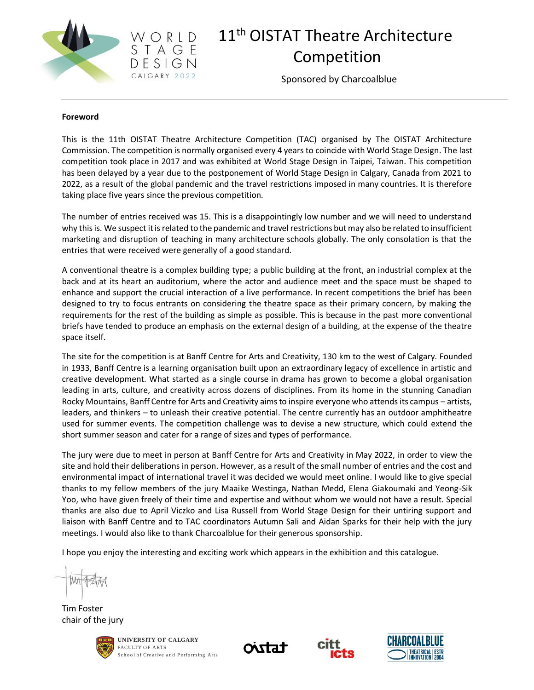

### 11<sup>th</sup> OISTAT Theatre Architecture Competition

Sponsored by Charcoalblue

#### **Foreword**

This is the 11th OISTAT Theatre Architecture Competition (TAC) organised by The OISTAT Architecture Commission. The competition is normally organised every 4 years to coincide with World Stage Design. The last competition took place in 2017 and was exhibited at World Stage Design in Taipei, Taiwan. This competition has been delayed by a year due to the postponement of World Stage Design in Calgary, Canada from 2021 to 2022, as a result of the global pandemic and the travel restrictions imposed in many countries. It is therefore taking place five years since the previous competition.

The number of entries received was 15. This is a disappointingly low number and we will need to understand why this is. We suspect it is related to the pandemic and travel restrictions but may also be related to insufficient marketing and disruption of teaching in many architecture schools globally. The only consolation is that the entries that were received were generally of a good standard.

A conventional theatre is a complex building type; a public building at the front, an industrial complex at the back and at its heart an auditorium, where the actor and audience meet and the space must be shaped to enhance and support the crucial interaction of a live performance. In recent competitions the brief has been designed to try to focus entrants on considering the theatre space as their primary concern, by making the requirements for the rest of the building as simple as possible. This is because in the past more conventional briefs have tended to produce an emphasis on the external design of a building, at the expense of the theatre space itself.

The site for the competition is at Banff Centre for Arts and Creativity, 130 km to the west of Calgary. Founded in 1933, Banff Centre is a learning organisation built upon an extraordinary legacy of excellence in artistic and creative development. What started as a single course in drama has grown to become a global organisation leading in arts, culture, and creativity across dozens of disciplines. From its home in the stunning Canadian Rocky Mountains, Banff Centre for Arts and Creativity aims to inspire everyone who attends its campus – artists, leaders, and thinkers – to unleash their creative potential. The centre currently has an outdoor amphitheatre used for summer events. The competition challenge was to devise a new structure, which could extend the short summer season and cater for a range of sizes and types of performance.

The jury were due to meet in person at Banff Centre for Arts and Creativity in May 2022, in order to view the site and hold their deliberations in person. However, as a result of the small number of entries and the cost and environmental impact of international travel it was decided we would meet online. I would like to give special thanks to my fellow members of the jury Maaike Westinga, Nathan Medd, Elena Giakoumaki and Yeong-Sik Yoo, who have given freely of their time and expertise and without whom we would not have a result. Special thanks are also due to April Viczko and Lisa Russell from World Stage Design for their untiring support and liaison with Banff Centre and to TAC coordinators Autumn Sali and Aidan Sparks for their help with the jury meetings. I would also like to thank Charcoalblue for their generous sponsorship.

I hope you enjoy the interesting and exciting work which appears in the exhibition and this catalogue.

Tim Foster chair of the jury







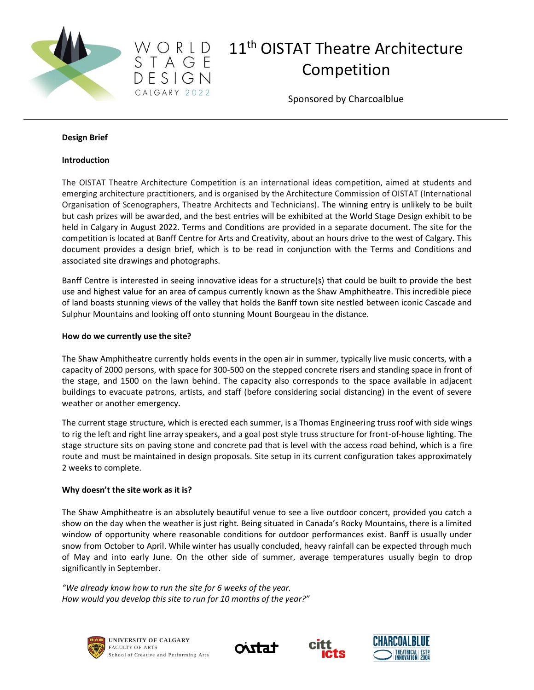



Sponsored by Charcoalblue

#### **Design Brief**

#### **Introduction**

The OISTAT Theatre Architecture Competition is an international ideas competition, aimed at students and emerging architecture practitioners, and is organised by the Architecture Commission of OISTAT (International Organisation of Scenographers, Theatre Architects and Technicians). The winning entry is unlikely to be built but cash prizes will be awarded, and the best entries will be exhibited at the World Stage Design exhibit to be held in Calgary in August 2022. Terms and Conditions are provided in a separate document. The site for the competition is located at Banff Centre for Arts and Creativity, about an hours drive to the west of Calgary. This document provides a design brief, which is to be read in conjunction with the Terms and Conditions and associated site drawings and photographs.

Banff Centre is interested in seeing innovative ideas for a structure(s) that could be built to provide the best use and highest value for an area of campus currently known as the Shaw Amphitheatre. This incredible piece of land boasts stunning views of the valley that holds the Banff town site nestled between iconic Cascade and Sulphur Mountains and looking off onto stunning Mount Bourgeau in the distance.

#### **How do we currently use the site?**

The Shaw Amphitheatre currently holds events in the open air in summer, typically live music concerts, with a capacity of 2000 persons, with space for 300-500 on the stepped concrete risers and standing space in front of the stage, and 1500 on the lawn behind. The capacity also corresponds to the space available in adjacent buildings to evacuate patrons, artists, and staff (before considering social distancing) in the event of severe weather or another emergency.

The current stage structure, which is erected each summer, is a Thomas Engineering truss roof with side wings to rig the left and right line array speakers, and a goal post style truss structure for front-of-house lighting. The stage structure sits on paving stone and concrete pad that is level with the access road behind, which is a fire route and must be maintained in design proposals. Site setup in its current configuration takes approximately 2 weeks to complete.

#### **Why doesn't the site work as it is?**

The Shaw Amphitheatre is an absolutely beautiful venue to see a live outdoor concert, provided you catch a show on the day when the weather is just right. Being situated in Canada's Rocky Mountains, there is a limited window of opportunity where reasonable conditions for outdoor performances exist. Banff is usually under snow from October to April. While winter has usually concluded, heavy rainfall can be expected through much of May and into early June. On the other side of summer, average temperatures usually begin to drop significantly in September.

*"We already know how to run the site for 6 weeks of the year. How would you develop this site to run for 10 months of the year?"*







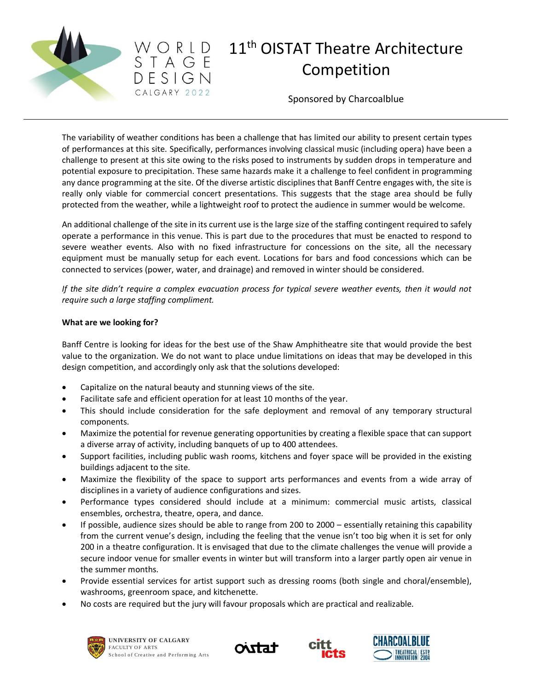



Sponsored by Charcoalblue

The variability of weather conditions has been a challenge that has limited our ability to present certain types of performances at this site. Specifically, performances involving classical music (including opera) have been a challenge to present at this site owing to the risks posed to instruments by sudden drops in temperature and potential exposure to precipitation. These same hazards make it a challenge to feel confident in programming any dance programming at the site. Of the diverse artistic disciplines that Banff Centre engages with, the site is really only viable for commercial concert presentations. This suggests that the stage area should be fully protected from the weather, while a lightweight roof to protect the audience in summer would be welcome.

An additional challenge of the site in its current use is the large size of the staffing contingent required to safely operate a performance in this venue. This is part due to the procedures that must be enacted to respond to severe weather events. Also with no fixed infrastructure for concessions on the site, all the necessary equipment must be manually setup for each event. Locations for bars and food concessions which can be connected to services (power, water, and drainage) and removed in winter should be considered.

*If the site didn't require a complex evacuation process for typical severe weather events, then it would not require such a large staffing compliment.*

#### **What are we looking for?**

Banff Centre is looking for ideas for the best use of the Shaw Amphitheatre site that would provide the best value to the organization. We do not want to place undue limitations on ideas that may be developed in this design competition, and accordingly only ask that the solutions developed:

- Capitalize on the natural beauty and stunning views of the site.
- Facilitate safe and efficient operation for at least 10 months of the year.
- This should include consideration for the safe deployment and removal of any temporary structural components.
- Maximize the potential for revenue generating opportunities by creating a flexible space that can support a diverse array of activity, including banquets of up to 400 attendees.
- Support facilities, including public wash rooms, kitchens and foyer space will be provided in the existing buildings adjacent to the site.
- Maximize the flexibility of the space to support arts performances and events from a wide array of disciplines in a variety of audience configurations and sizes.
- Performance types considered should include at a minimum: commercial music artists, classical ensembles, orchestra, theatre, opera, and dance.
- If possible, audience sizes should be able to range from 200 to 2000 essentially retaining this capability from the current venue's design, including the feeling that the venue isn't too big when it is set for only 200 in a theatre configuration. It is envisaged that due to the climate challenges the venue will provide a secure indoor venue for smaller events in winter but will transform into a larger partly open air venue in the summer months.
- Provide essential services for artist support such as dressing rooms (both single and choral/ensemble), washrooms, greenroom space, and kitchenette.
- No costs are required but the jury will favour proposals which are practical and realizable.







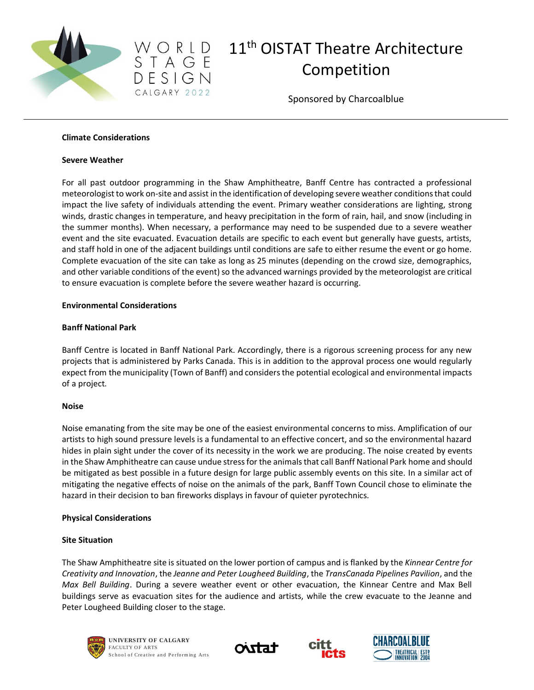



Sponsored by Charcoalblue

#### **Climate Considerations**

#### **Severe Weather**

For all past outdoor programming in the Shaw Amphitheatre, Banff Centre has contracted a professional meteorologist to work on-site and assist in the identification of developing severe weather conditions that could impact the live safety of individuals attending the event. Primary weather considerations are lighting, strong winds, drastic changes in temperature, and heavy precipitation in the form of rain, hail, and snow (including in the summer months). When necessary, a performance may need to be suspended due to a severe weather event and the site evacuated. Evacuation details are specific to each event but generally have guests, artists, and staff hold in one of the adjacent buildings until conditions are safe to either resume the event or go home. Complete evacuation of the site can take as long as 25 minutes (depending on the crowd size, demographics, and other variable conditions of the event) so the advanced warnings provided by the meteorologist are critical to ensure evacuation is complete before the severe weather hazard is occurring.

#### **Environmental Considerations**

#### **Banff National Park**

Banff Centre is located in Banff National Park. Accordingly, there is a rigorous screening process for any new projects that is administered by Parks Canada. This is in addition to the approval process one would regularly expect from the municipality (Town of Banff) and considers the potential ecological and environmental impacts of a project.

#### **Noise**

Noise emanating from the site may be one of the easiest environmental concerns to miss. Amplification of our artists to high sound pressure levels is a fundamental to an effective concert, and so the environmental hazard hides in plain sight under the cover of its necessity in the work we are producing. The noise created by events in the Shaw Amphitheatre can cause undue stress for the animals that call Banff National Park home and should be mitigated as best possible in a future design for large public assembly events on this site. In a similar act of mitigating the negative effects of noise on the animals of the park, Banff Town Council chose to eliminate the hazard in their decision to ban fireworks displays in favour of quieter pyrotechnics.

#### **Physical Considerations**

#### **Site Situation**

The Shaw Amphitheatre site is situated on the lower portion of campus and is flanked by the *Kinnear Centre for Creativity and Innovation*, the *Jeanne and Peter Lougheed Building*, the *TransCanada Pipelines Pavilion*, and the *Max Bell Building*. During a severe weather event or other evacuation, the Kinnear Centre and Max Bell buildings serve as evacuation sites for the audience and artists, while the crew evacuate to the Jeanne and Peter Lougheed Building closer to the stage.







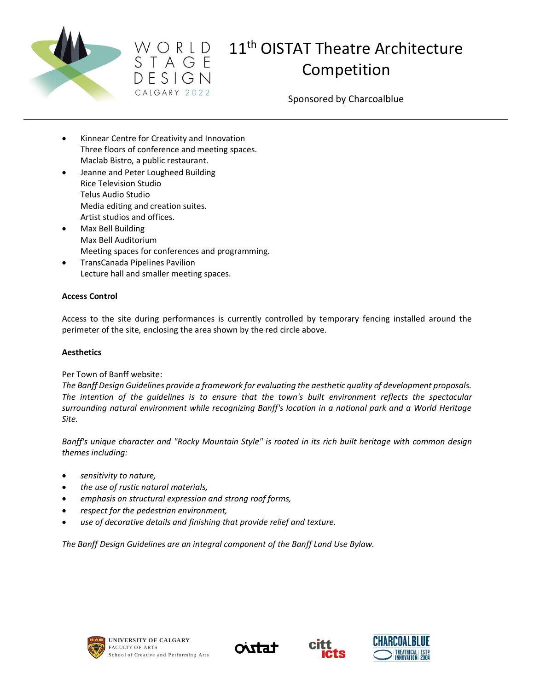



# $W \subset R \cup D$  11<sup>th</sup> OISTAT Theatre Architecture<br>  $S \top A \subseteq E$ Competition

Sponsored by Charcoalblue

- Kinnear Centre for Creativity and Innovation Three floors of conference and meeting spaces. Maclab Bistro, a public restaurant.
- Jeanne and Peter Lougheed Building Rice Television Studio Telus Audio Studio Media editing and creation suites. Artist studios and offices.
- Max Bell Building Max Bell Auditorium Meeting spaces for conferences and programming.
- TransCanada Pipelines Pavilion Lecture hall and smaller meeting spaces.

#### **Access Control**

Access to the site during performances is currently controlled by temporary fencing installed around the perimeter of the site, enclosing the area shown by the red circle above.

#### **Aesthetics**

#### Per Town of Banff website:

*The Banff Design Guidelines provide a framework for evaluating the aesthetic quality of development proposals. The intention of the guidelines is to ensure that the town's built environment reflects the spectacular surrounding natural environment while recognizing Banff's location in a national park and a World Heritage Site.*

*Banff's unique character and "Rocky Mountain Style" is rooted in its rich built heritage with common design themes including:*

- *sensitivity to nature,*
- *the use of rustic natural materials,*
- *emphasis on structural expression and strong roof forms,*
- *respect for the pedestrian environment,*
- *use of decorative details and finishing that provide relief and texture.*

*The Banff Design Guidelines are an integral component of the Banff Land Use Bylaw.*







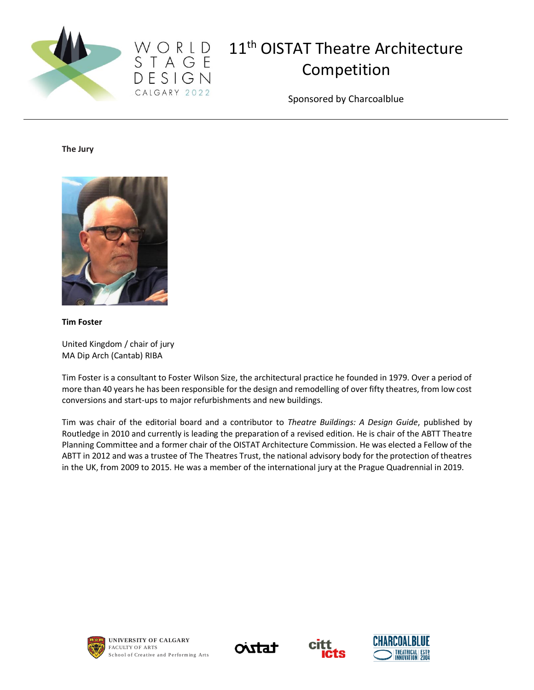



Sponsored by Charcoalblue

**The Jury**



**Tim Foster** 

United Kingdom / chair of jury MA Dip Arch (Cantab) RIBA

Tim Foster is a consultant to Foster Wilson Size, the architectural practice he founded in 1979. Over a period of more than 40 years he has been responsible for the design and remodelling of over fifty theatres, from low cost conversions and start-ups to major refurbishments and new buildings.

Tim was chair of the editorial board and a contributor to *Theatre Buildings: A Design Guide*, published by Routledge in 2010 and currently is leading the preparation of a revised edition. He is chair of the ABTT Theatre Planning Committee and a former chair of the OISTAT Architecture Commission. He was elected a Fellow of the ABTT in 2012 and was a trustee of The Theatres Trust, the national advisory body for the protection of theatres in the UK, from 2009 to 2015. He was a member of the international jury at the Prague Quadrennial in 2019.







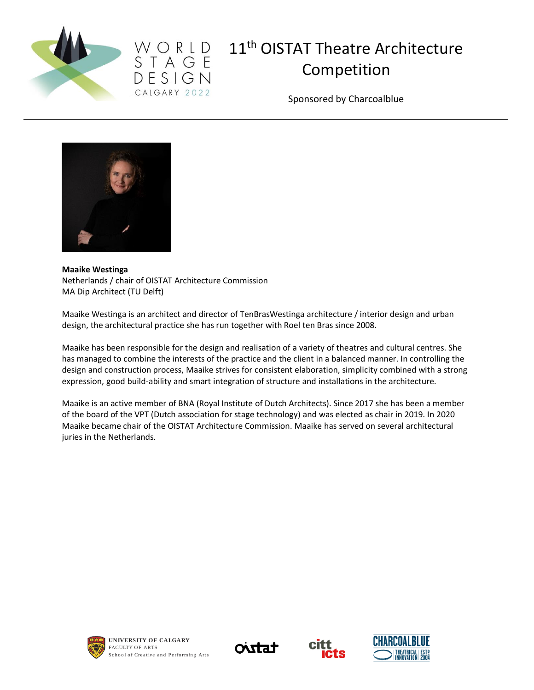



Sponsored by Charcoalblue



#### **Maaike Westinga**

Netherlands / chair of OISTAT Architecture Commission MA Dip Architect (TU Delft)

Maaike Westinga is an architect and director of TenBrasWestinga architecture / interior design and urban design, the architectural practice she has run together with Roel ten Bras since 2008.

Maaike has been responsible for the design and realisation of a variety of theatres and cultural centres. She has managed to combine the interests of the practice and the client in a balanced manner. In controlling the design and construction process, Maaike strives for consistent elaboration, simplicity combined with a strong expression, good build-ability and smart integration of structure and installations in the architecture.

Maaike is an active member of BNA (Royal Institute of Dutch Architects). Since 2017 she has been a member of the board of the VPT (Dutch association for stage technology) and was elected as chair in 2019. In 2020 Maaike became chair of the OISTAT Architecture Commission. Maaike has served on several architectural juries in the Netherlands.







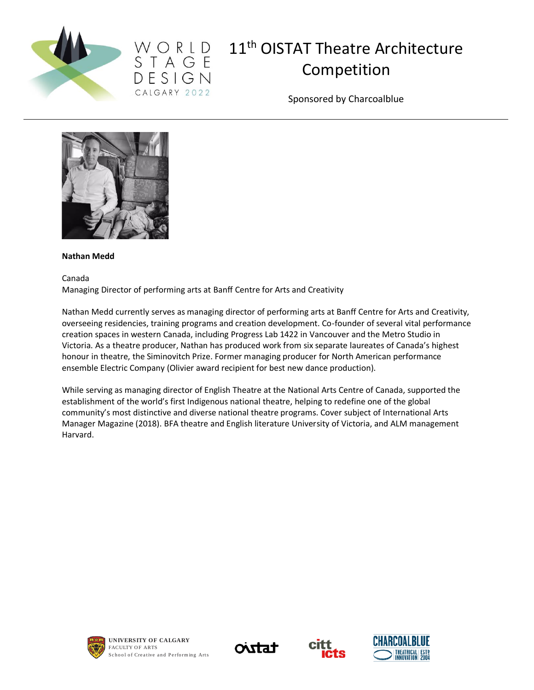



Sponsored by Charcoalblue



#### **Nathan Medd**

Canada

Managing Director of performing arts at Banff Centre for Arts and Creativity

Nathan Medd currently serves as managing director of performing arts at Banff Centre for Arts and Creativity, overseeing residencies, training programs and creation development. Co-founder of several vital performance creation spaces in western Canada, including Progress Lab 1422 in Vancouver and the Metro Studio in Victoria. As a theatre producer, Nathan has produced work from six separate laureates of Canada's highest honour in theatre, the Siminovitch Prize. Former managing producer for North American performance ensemble Electric Company (Olivier award recipient for best new dance production).

While serving as managing director of English Theatre at the National Arts Centre of Canada, supported the establishment of the world's first Indigenous national theatre, helping to redefine one of the global community's most distinctive and diverse national theatre programs. Cover subject of International Arts Manager Magazine (2018). BFA theatre and English literature University of Victoria, and ALM management Harvard.







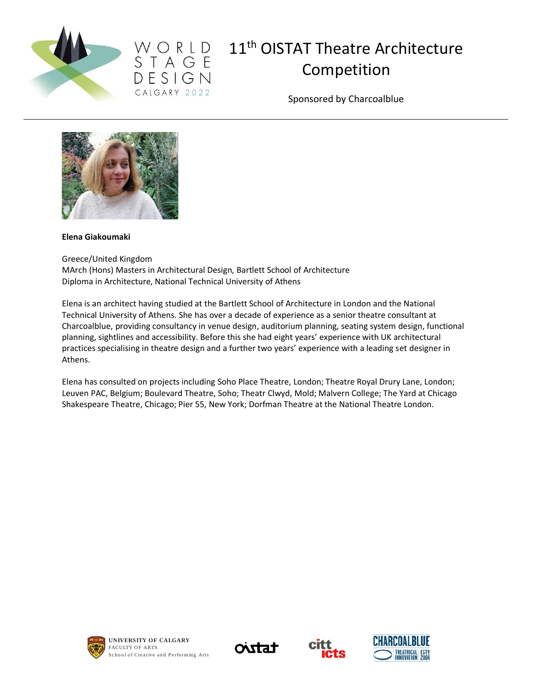



Sponsored by Charcoalblue



#### **Elena Giakoumaki**

Greece/United Kingdom MArch (Hons) Masters in Architectural Design, Bartlett School of Architecture Diploma in Architecture, National Technical University of Athens

Elena is an architect having studied at the Bartlett School of Architecture in London and the National Technical University of Athens. She has over a decade of experience as a senior theatre consultant at Charcoalblue, providing consultancy in venue design, auditorium planning, seating system design, functional planning, sightlines and accessibility. Before this she had eight years' experience with UK architectural practices specialising in theatre design and a further two years' experience with a leading set designer in Athens.

Elena has consulted on projects including Soho Place Theatre, London; Theatre Royal Drury Lane, London; Leuven PAC, Belgium; Boulevard Theatre, Soho; Theatr Clwyd, Mold; Malvern College; The Yard at Chicago Shakespeare Theatre, Chicago; Pier 55, New York; Dorfman Theatre at the National Theatre London.









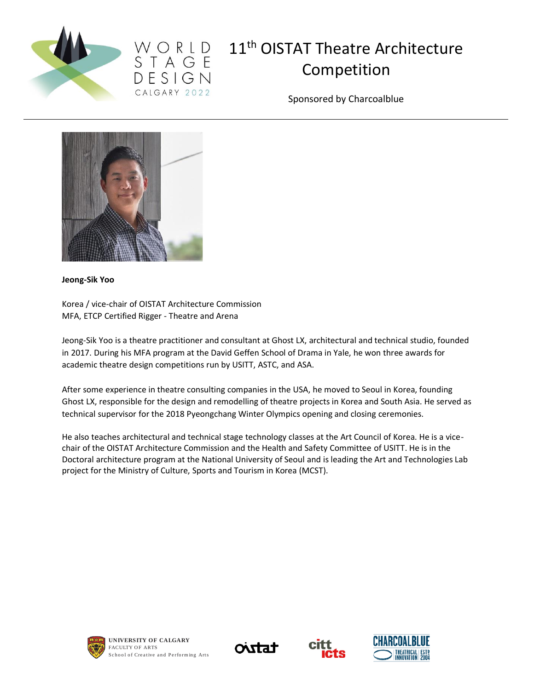



Sponsored by Charcoalblue



**Jeong-Sik Yoo** 

Korea / vice-chair of OISTAT Architecture Commission MFA, ETCP Certified Rigger - Theatre and Arena

Jeong-Sik Yoo is a theatre practitioner and consultant at Ghost LX, architectural and technical studio, founded in 2017. During his MFA program at the David Geffen School of Drama in Yale, he won three awards for academic theatre design competitions run by USITT, ASTC, and ASA.

After some experience in theatre consulting companies in the USA, he moved to Seoul in Korea, founding Ghost LX, responsible for the design and remodelling of theatre projects in Korea and South Asia. He served as technical supervisor for the 2018 Pyeongchang Winter Olympics opening and closing ceremonies.

He also teaches architectural and technical stage technology classes at the Art Council of Korea. He is a vicechair of the OISTAT Architecture Commission and the Health and Safety Committee of USITT. He is in the Doctoral architecture program at the National University of Seoul and is leading the Art and Technologies Lab project for the Ministry of Culture, Sports and Tourism in Korea (MCST).







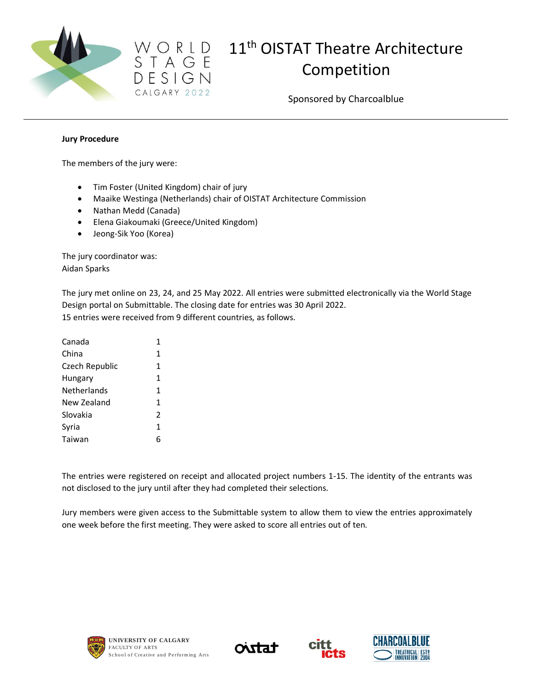

Sponsored by Charcoalblue

#### **Jury Procedure**

The members of the jury were:

• [Tim Foster](http://www.oistat.org/Item/list.asp?id=1499#Foster) (United Kingdom) chair of jury

CALGARY 2022

- Maaike Westinga (Netherlands) chair of OISTAT Architecture Commission
- Nathan Medd (Canada)
- Elena Giakoumaki (Greece/United Kingdom)
- Jeong-Sik Yoo (Korea)

The jury coordinator was: Aidan Sparks

The jury met online on 23, 24, and 25 May 2022. All entries were submitted electronically via the World Stage Design portal on Submittable. The closing date for entries was 30 April 2022. 15 entries were received from 9 different countries, as follows.

| Canada             | 1             |
|--------------------|---------------|
| China              | 1             |
| Czech Republic     | 1             |
| Hungary            | 1             |
| <b>Netherlands</b> | 1             |
| New Zealand        | 1             |
| Slovakia           | $\mathfrak z$ |
| Syria              | 1             |
| Taiwan             | 6             |

The entries were registered on receipt and allocated project numbers 1-15. The identity of the entrants was not disclosed to the jury until after they had completed their selections.

Jury members were given access to the Submittable system to allow them to view the entries approximately one week before the first meeting. They were asked to score all entries out of ten.







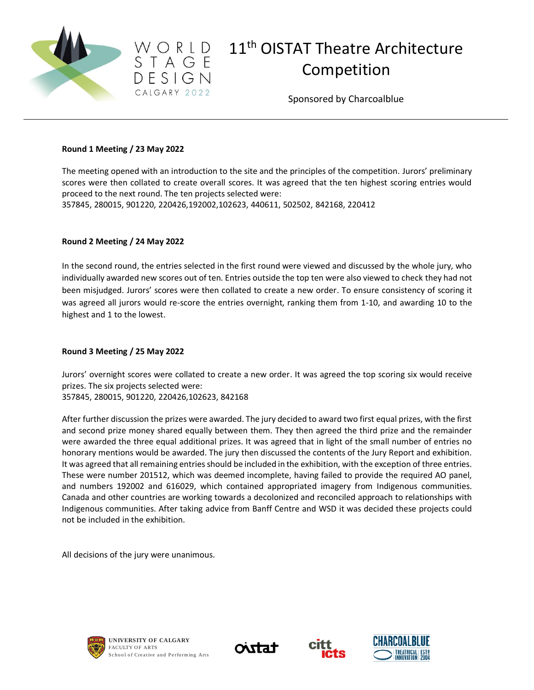

Sponsored by Charcoalblue

#### **Round 1 Meeting / 23 May 2022**

 $D$  E S I G N CALGARY 2022

The meeting opened with an introduction to the site and the principles of the competition. Jurors' preliminary scores were then collated to create overall scores. It was agreed that the ten highest scoring entries would proceed to the next round. The ten projects selected were: 357845, 280015, 901220, 220426,192002,102623, 440611, 502502, 842168, 220412

#### **Round 2 Meeting / 24 May 2022**

In the second round, the entries selected in the first round were viewed and discussed by the whole jury, who individually awarded new scores out of ten. Entries outside the top ten were also viewed to check they had not been misjudged. Jurors' scores were then collated to create a new order. To ensure consistency of scoring it was agreed all jurors would re-score the entries overnight, ranking them from 1-10, and awarding 10 to the highest and 1 to the lowest.

#### **Round 3 Meeting / 25 May 2022**

Jurors' overnight scores were collated to create a new order. It was agreed the top scoring six would receive prizes. The six projects selected were:

357845, 280015, 901220, 220426,102623, 842168

After further discussion the prizes were awarded. The jury decided to award two first equal prizes, with the first and second prize money shared equally between them. They then agreed the third prize and the remainder were awarded the three equal additional prizes. It was agreed that in light of the small number of entries no honorary mentions would be awarded. The jury then discussed the contents of the Jury Report and exhibition. It was agreed that all remaining entries should be included in the exhibition, with the exception of three entries. These were number 201512, which was deemed incomplete, having failed to provide the required AO panel, and numbers 192002 and 616029, which contained appropriated imagery from Indigenous communities. Canada and other countries are working towards a decolonized and reconciled approach to relationships with Indigenous communities. After taking advice from Banff Centre and WSD it was decided these projects could not be included in the exhibition.

All decisions of the jury were unanimous.







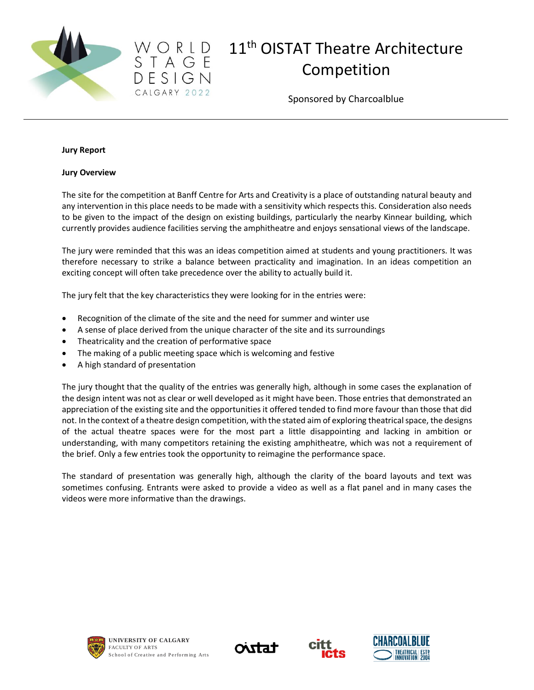

Sponsored by Charcoalblue

#### **Jury Report**

#### **Jury Overview**

The site for the competition at Banff Centre for Arts and Creativity is a place of outstanding natural beauty and any intervention in this place needs to be made with a sensitivity which respects this. Consideration also needs to be given to the impact of the design on existing buildings, particularly the nearby Kinnear building, which currently provides audience facilities serving the amphitheatre and enjoys sensational views of the landscape.

The jury were reminded that this was an ideas competition aimed at students and young practitioners. It was therefore necessary to strike a balance between practicality and imagination. In an ideas competition an exciting concept will often take precedence over the ability to actually build it.

The jury felt that the key characteristics they were looking for in the entries were:

- Recognition of the climate of the site and the need for summer and winter use
- A sense of place derived from the unique character of the site and its surroundings
- Theatricality and the creation of performative space

 $D$  E S I G N CALGARY 2022

- The making of a public meeting space which is welcoming and festive
- A high standard of presentation

The jury thought that the quality of the entries was generally high, although in some cases the explanation of the design intent was not as clear or well developed as it might have been. Those entries that demonstrated an appreciation of the existing site and the opportunities it offered tended to find more favour than those that did not. In the context of a theatre design competition, with the stated aim of exploring theatrical space, the designs of the actual theatre spaces were for the most part a little disappointing and lacking in ambition or understanding, with many competitors retaining the existing amphitheatre, which was not a requirement of the brief. Only a few entries took the opportunity to reimagine the performance space.

The standard of presentation was generally high, although the clarity of the board layouts and text was sometimes confusing. Entrants were asked to provide a video as well as a flat panel and in many cases the videos were more informative than the drawings.







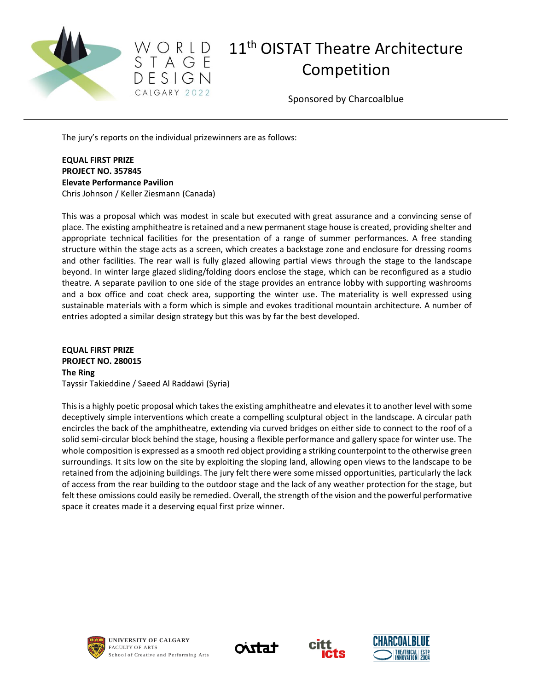



Sponsored by Charcoalblue

The jury's reports on the individual prizewinners are as follows:

**EQUAL FIRST PRIZE PROJECT NO. 357845 Elevate Performance Pavilion** Chris Johnson / Keller Ziesmann (Canada)

This was a proposal which was modest in scale but executed with great assurance and a convincing sense of place. The existing amphitheatre is retained and a new permanent stage house is created, providing shelter and appropriate technical facilities for the presentation of a range of summer performances. A free standing structure within the stage acts as a screen, which creates a backstage zone and enclosure for dressing rooms and other facilities. The rear wall is fully glazed allowing partial views through the stage to the landscape beyond. In winter large glazed sliding/folding doors enclose the stage, which can be reconfigured as a studio theatre. A separate pavilion to one side of the stage provides an entrance lobby with supporting washrooms and a box office and coat check area, supporting the winter use. The materiality is well expressed using sustainable materials with a form which is simple and evokes traditional mountain architecture. A number of entries adopted a similar design strategy but this was by far the best developed.

**EQUAL FIRST PRIZE PROJECT NO. 280015 The Ring** Tayssir Takieddine / Saeed Al Raddawi (Syria)

This is a highly poetic proposal which takes the existing amphitheatre and elevates it to another level with some deceptively simple interventions which create a compelling sculptural object in the landscape. A circular path encircles the back of the amphitheatre, extending via curved bridges on either side to connect to the roof of a solid semi-circular block behind the stage, housing a flexible performance and gallery space for winter use. The whole composition is expressed as a smooth red object providing a striking counterpoint to the otherwise green surroundings. It sits low on the site by exploiting the sloping land, allowing open views to the landscape to be retained from the adjoining buildings. The jury felt there were some missed opportunities, particularly the lack of access from the rear building to the outdoor stage and the lack of any weather protection for the stage, but felt these omissions could easily be remedied. Overall, the strength of the vision and the powerful performative space it creates made it a deserving equal first prize winner.







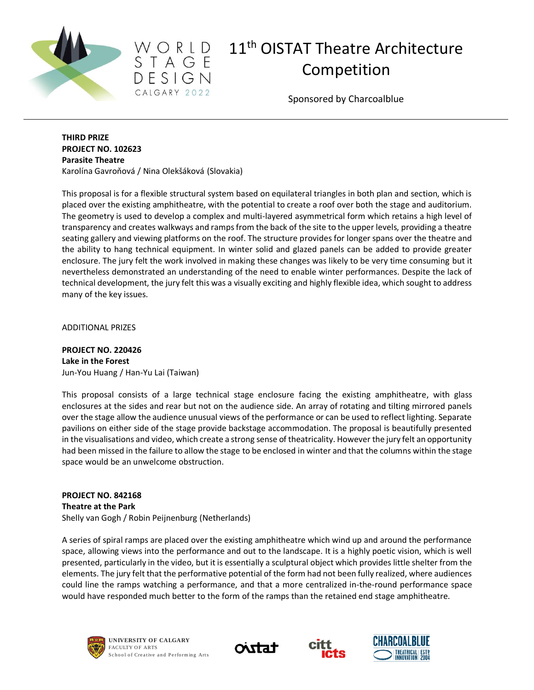



Sponsored by Charcoalblue

#### **THIRD PRIZE PROJECT NO. 102623 Parasite Theatre** Karolína Gavroňová / Nina Olekšáková (Slovakia)

This proposal is for a flexible structural system based on equilateral triangles in both plan and section, which is placed over the existing amphitheatre, with the potential to create a roof over both the stage and auditorium. The geometry is used to develop a complex and multi-layered asymmetrical form which retains a high level of transparency and creates walkways and ramps from the back of the site to the upper levels, providing a theatre seating gallery and viewing platforms on the roof. The structure provides for longer spans over the theatre and the ability to hang technical equipment. In winter solid and glazed panels can be added to provide greater enclosure. The jury felt the work involved in making these changes was likely to be very time consuming but it nevertheless demonstrated an understanding of the need to enable winter performances. Despite the lack of technical development, the jury felt this was a visually exciting and highly flexible idea, which sought to address many of the key issues.

ADDITIONAL PRIZES

**PROJECT NO. 220426 Lake in the Forest** Jun-You Huang / Han-Yu Lai (Taiwan)

This proposal consists of a large technical stage enclosure facing the existing amphitheatre, with glass enclosures at the sides and rear but not on the audience side. An array of rotating and tilting mirrored panels over the stage allow the audience unusual views of the performance or can be used to reflect lighting. Separate pavilions on either side of the stage provide backstage accommodation. The proposal is beautifully presented in the visualisations and video, which create a strong sense of theatricality. However the jury felt an opportunity had been missed in the failure to allow the stage to be enclosed in winter and that the columns within the stage space would be an unwelcome obstruction.

**PROJECT NO. 842168 Theatre at the Park** Shelly van Gogh / Robin Peijnenburg (Netherlands)

A series of spiral ramps are placed over the existing amphitheatre which wind up and around the performance space, allowing views into the performance and out to the landscape. It is a highly poetic vision, which is well presented, particularly in the video, but it is essentially a sculptural object which provides little shelter from the elements. The jury felt that the performative potential of the form had not been fully realized, where audiences could line the ramps watching a performance, and that a more centralized in-the-round performance space would have responded much better to the form of the ramps than the retained end stage amphitheatre.